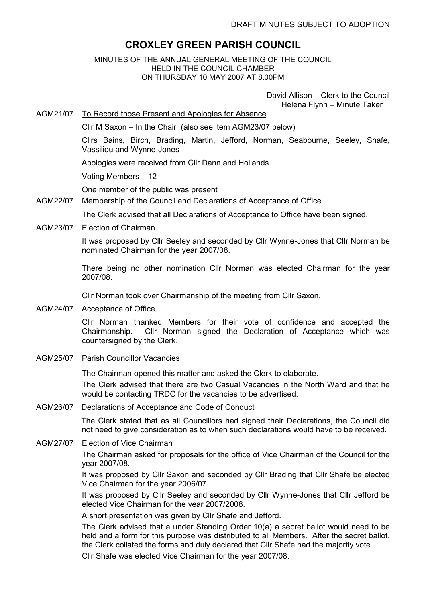# **CROXLEY GREEN PARISH COUNCIL**

MINUTES OF THE ANNUAL GENERAL MEETING OF THE COUNCIL HELD IN THE COUNCIL CHAMBER ON THURSDAY 10 MAY 2007 AT 8.00PM

> David Allison – Clerk to the Council Helena Flynn – Minute Taker

AGM21/07 To Record those Present and Apologies for Absence

Cllr M Saxon – In the Chair (also see item AGM23/07 below)

Cllrs Bains, Birch, Brading, Martin, Jefford, Norman, Seabourne, Seeley, Shafe, Vassiliou and Wynne-Jones

Apologies were received from Cllr Dann and Hollands.

Voting Members – 12

One member of the public was present

### AGM22/07 Membership of the Council and Declarations of Acceptance of Office

The Clerk advised that all Declarations of Acceptance to Office have been signed.

AGM23/07 Election of Chairman

It was proposed by Cllr Seeley and seconded by Cllr Wynne-Jones that Cllr Norman be nominated Chairman for the year 2007/08.

There being no other nomination Cllr Norman was elected Chairman for the year 2007/08.

Cllr Norman took over Chairmanship of the meeting from Cllr Saxon.

AGM24/07 Acceptance of Office

Cllr Norman thanked Members for their vote of confidence and accepted the Chairmanship. Cllr Norman signed the Declaration of Acceptance which was countersigned by the Clerk.

AGM25/07 Parish Councillor Vacancies

The Chairman opened this matter and asked the Clerk to elaborate.

The Clerk advised that there are two Casual Vacancies in the North Ward and that he would be contacting TRDC for the vacancies to be advertised.

#### AGM26/07 Declarations of Acceptance and Code of Conduct

The Clerk stated that as all Councillors had signed their Declarations, the Council did not need to give consideration as to when such declarations would have to be received.

## AGM27/07 Election of Vice Chairman

The Chairman asked for proposals for the office of Vice Chairman of the Council for the year 2007/08.

It was proposed by Cllr Saxon and seconded by Cllr Brading that Cllr Shafe be elected Vice Chairman for the year 2006/07.

It was proposed by Cllr Seeley and seconded by Cllr Wynne-Jones that Cllr Jefford be elected Vice Chairman for the year 2007/2008.

A short presentation was given by Cllr Shafe and Jefford.

The Clerk advised that a under Standing Order 10(a) a secret ballot would need to be held and a form for this purpose was distributed to all Members. After the secret ballot, the Clerk collated the forms and duly declared that Cllr Shafe had the majority vote.

Cllr Shafe was elected Vice Chairman for the year 2007/08.